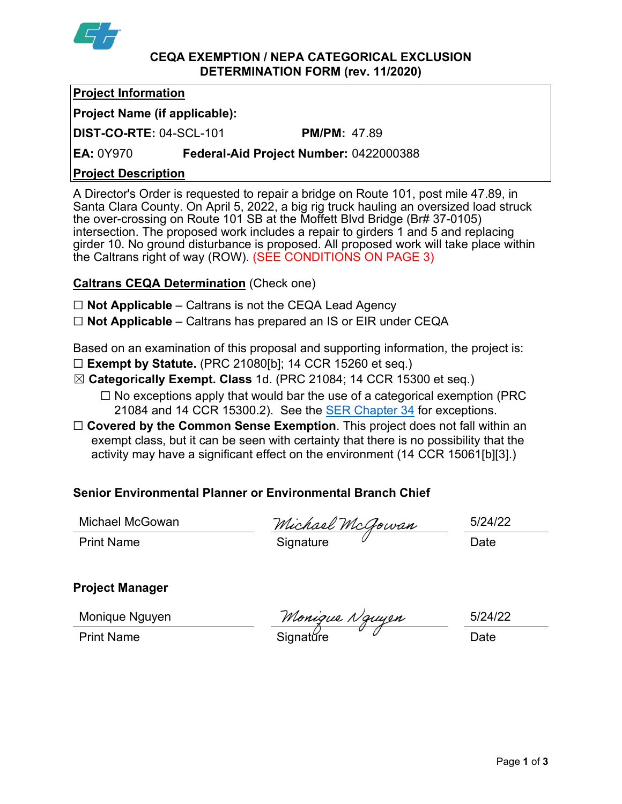

#### **CEQA EXEMPTION / NEPA CATEGORICAL EXCLUSION DETERMINATION FORM (rev. 11/2020)**

### **Project Information**

# **Project Name (if applicable):**

**DIST-CO-RTE:** 04-SCL-101 **PM/PM:** 47.89

**EA:** 0Y970 **Federal-Aid Project Number:** 0422000388

### **Project Description**

A Director's Order is requested to repair a bridge on Route 101, post mile 47.89, in Santa Clara County. On April 5, 2022, a big rig truck hauling an oversized load struck the over-crossing on Route 101 SB at the Moffett Blvd Bridge (Br# 37-0105) intersection. The proposed work includes a repair to girders 1 and 5 and replacing girder 10. No ground disturbance is proposed. All proposed work will take place within the Caltrans right of way (ROW). (SEE CONDITIONS ON PAGE 3)

# **Caltrans CEQA Determination** (Check one)

- ☐ **Not Applicable** Caltrans is not the CEQA Lead Agency
- ☐ **Not Applicable** Caltrans has prepared an IS or EIR under CEQA

Based on an examination of this proposal and supporting information, the project is: ☐ **Exempt by Statute.** (PRC 21080[b]; 14 CCR 15260 et seq.)

- ☒ **Categorically Exempt. Class** 1d. (PRC 21084; 14 CCR 15300 et seq.)  $\Box$  No exceptions apply that would bar the use of a categorical exemption (PRC) 21084 and 14 CCR 15300.2). See the [SER Chapter 34](https://dot.ca.gov/programs/environmental-analysis/standard-environmental-reference-ser/volume-1-guidance-for-compliance/ch-34-exemptions-to-ceqa#except) for exceptions.
- □ **Covered by the Common Sense Exemption**. This project does not fall within an exempt class, but it can be seen with certainty that there is no possibility that the activity may have a significant effect on the environment (14 CCR 15061[b][3].)

# **Senior Environmental Planner or Environmental Branch Chief**

Michael McGowan 5/24/22

Print Name Signature <sup> </sup> Date

# **Project Manager**

Print Name Signatǔre <sup>少</sup> Date

Monique Nguyen 5/24/22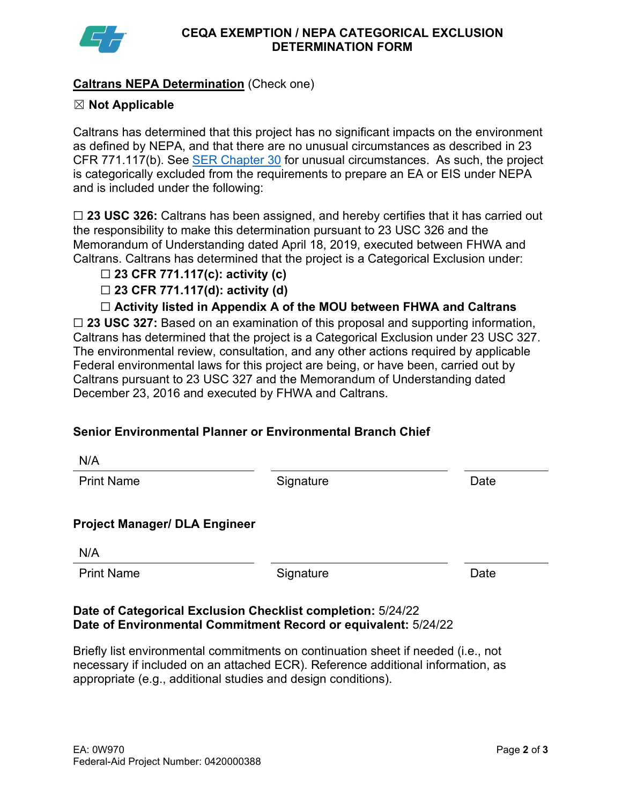

N/A

### **Caltrans NEPA Determination** (Check one)

#### ☒ **Not Applicable**

Caltrans has determined that this project has no significant impacts on the environment as defined by NEPA, and that there are no unusual circumstances as described in 23 CFR 771.117(b). See [SER Chapter 30](https://dot.ca.gov/programs/environmental-analysis/standard-environmental-reference-ser/volume-1-guidance-for-compliance/ch-30-categorical-exclusions#exception) for unusual circumstances. As such, the project is categorically excluded from the requirements to prepare an EA or EIS under NEPA and is included under the following:

☐ **23 USC 326:** Caltrans has been assigned, and hereby certifies that it has carried out the responsibility to make this determination pursuant to 23 USC 326 and the Memorandum of Understanding dated April 18, 2019, executed between FHWA and Caltrans. Caltrans has determined that the project is a Categorical Exclusion under:

#### ☐ **23 CFR 771.117(c): activity (c)**

☐ **23 CFR 771.117(d): activity (d)**

☐ **Activity listed in Appendix A of the MOU between FHWA and Caltrans**

☐ **23 USC 327:** Based on an examination of this proposal and supporting information, Caltrans has determined that the project is a Categorical Exclusion under 23 USC 327. The environmental review, consultation, and any other actions required by applicable Federal environmental laws for this project are being, or have been, carried out by Caltrans pursuant to 23 USC 327 and the Memorandum of Understanding dated December 23, 2016 and executed by FHWA and Caltrans.

#### **Senior Environmental Planner or Environmental Branch Chief**

| <b>Print Name</b>                    | Signature | Date |
|--------------------------------------|-----------|------|
| <b>Project Manager/ DLA Engineer</b> |           |      |
| N/A                                  |           |      |
| <b>Print Name</b>                    | Signature | Date |
|                                      |           |      |

#### **Date of Categorical Exclusion Checklist completion:** 5/24/22 **Date of Environmental Commitment Record or equivalent:** 5/24/22

Briefly list environmental commitments on continuation sheet if needed (i.e., not necessary if included on an attached ECR). Reference additional information, as appropriate (e.g., additional studies and design conditions).